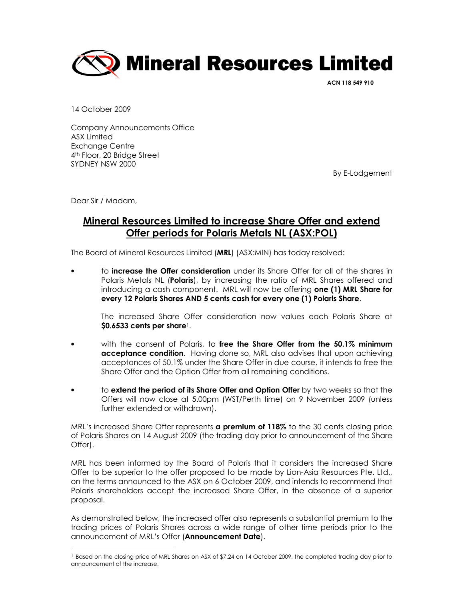

ACN 118 549 910

14 October 2009

Company Announcements Office ASX Limited Exchange Centre 4<sup>th</sup> Floor, 20 Bridge Street SYDNEY NSW 2000

By E-Lodgement

Dear Sir / Madam,

 $\overline{a}$ 

## Mineral Resources Limited to increase Share Offer and extend Offer periods for Polaris Metals NL (ASX:POL)

The Board of Mineral Resources Limited (MRL) (ASX:MIN) has today resolved:

to **increase the Offer consideration** under its Share Offer for all of the shares in Polaris Metals NL (**Polaris**), by increasing the ratio of MRL Shares offered and introducing a cash component. MRL will now be offering **one (1) MRL Share for** every 12 Polaris Shares AND 5 cents cash for every one (1) Polaris Share.

The increased Share Offer consideration now values each Polaris Share at  $$0.6533$  cents per share<sup>1</sup>.

- with the consent of Polaris, to free the Share Offer from the 50.1% minimum acceptance condition. Having done so, MRL also advises that upon achieving acceptances of 50.1% under the Share Offer in due course, it intends to free the Share Offer and the Option Offer from all remaining conditions.
- to extend the period of its Share Offer and Option Offer by two weeks so that the Offers will now close at 5.00pm (WST/Perth time) on 9 November 2009 (unless further extended or withdrawn).

MRL's increased Share Offer represents **a premium of 118%** to the 30 cents closing price of Polaris Shares on 14 August 2009 (the trading day prior to announcement of the Share Offer).

MRL has been informed by the Board of Polaris that it considers the increased Share Offer to be superior to the offer proposed to be made by Lion-Asia Resources Pte. Ltd., on the terms announced to the ASX on 6 October 2009, and intends to recommend that Polaris shareholders accept the increased Share Offer, in the absence of a superior proposal.

As demonstrated below, the increased offer also represents a substantial premium to the trading prices of Polaris Shares across a wide range of other time periods prior to the announcement of MRL's Offer (Announcement Date).

<sup>&</sup>lt;sup>1</sup> Based on the closing price of MRL Shares on ASX of \$7.24 on 14 October 2009, the completed trading day prior to announcement of the increase.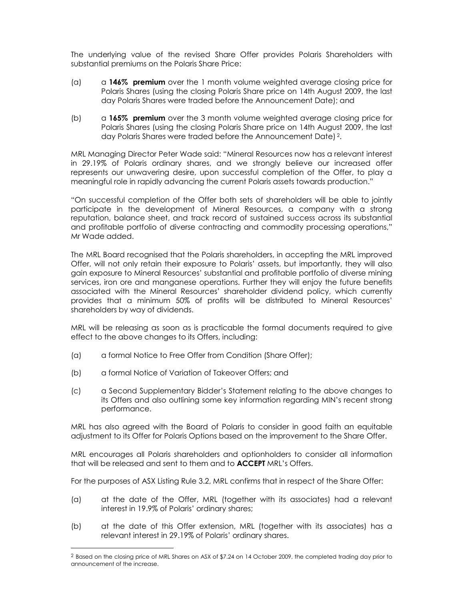The underlying value of the revised Share Offer provides Polaris Shareholders with substantial premiums on the Polaris Share Price:

- (a)  $\alpha$  146% premium over the 1 month volume weighted average closing price for Polaris Shares (using the closing Polaris Share price on 14th August 2009, the last day Polaris Shares were traded before the Announcement Date); and
- (b) a 165% premium over the 3 month volume weighted average closing price for Polaris Shares (using the closing Polaris Share price on 14th August 2009, the last day Polaris Shares were traded before the Announcement Date) 2.

MRL Managing Director Peter Wade said: "Mineral Resources now has a relevant interest in 29.19% of Polaris ordinary shares, and we strongly believe our increased offer represents our unwavering desire, upon successful completion of the Offer, to play a meaningful role in rapidly advancing the current Polaris assets towards production."

"On successful completion of the Offer both sets of shareholders will be able to jointly participate in the development of Mineral Resources, a company with a strong reputation, balance sheet, and track record of sustained success across its substantial and profitable portfolio of diverse contracting and commodity processing operations," Mr Wade added.

The MRL Board recognised that the Polaris shareholders, in accepting the MRL improved Offer, will not only retain their exposure to Polaris' assets, but importantly, they will also gain exposure to Mineral Resources' substantial and profitable portfolio of diverse mining services, iron ore and manganese operations. Further they will enjoy the future benefits associated with the Mineral Resources' shareholder dividend policy, which currently provides that a minimum 50% of profits will be distributed to Mineral Resources' shareholders by way of dividends.

MRL will be releasing as soon as is practicable the formal documents required to give effect to the above changes to its Offers, including:

- (a) a formal Notice to Free Offer from Condition (Share Offer);
- (b) a formal Notice of Variation of Takeover Offers; and

 $\overline{a}$ 

(c) a Second Supplementary Bidder's Statement relating to the above changes to its Offers and also outlining some key information regarding MIN's recent strong performance.

MRL has also agreed with the Board of Polaris to consider in good faith an equitable adjustment to its Offer for Polaris Options based on the improvement to the Share Offer.

MRL encourages all Polaris shareholders and optionholders to consider all information that will be released and sent to them and to **ACCEPT** MRL's Offers.

For the purposes of ASX Listing Rule 3.2, MRL confirms that in respect of the Share Offer:

- (a) at the date of the Offer, MRL (together with its associates) had a relevant interest in 19.9% of Polaris' ordinary shares;
- (b) at the date of this Offer extension, MRL (together with its associates) has a relevant interest in 29.19% of Polaris' ordinary shares.

<sup>2</sup> Based on the closing price of MRL Shares on ASX of \$7.24 on 14 October 2009, the completed trading day prior to announcement of the increase.